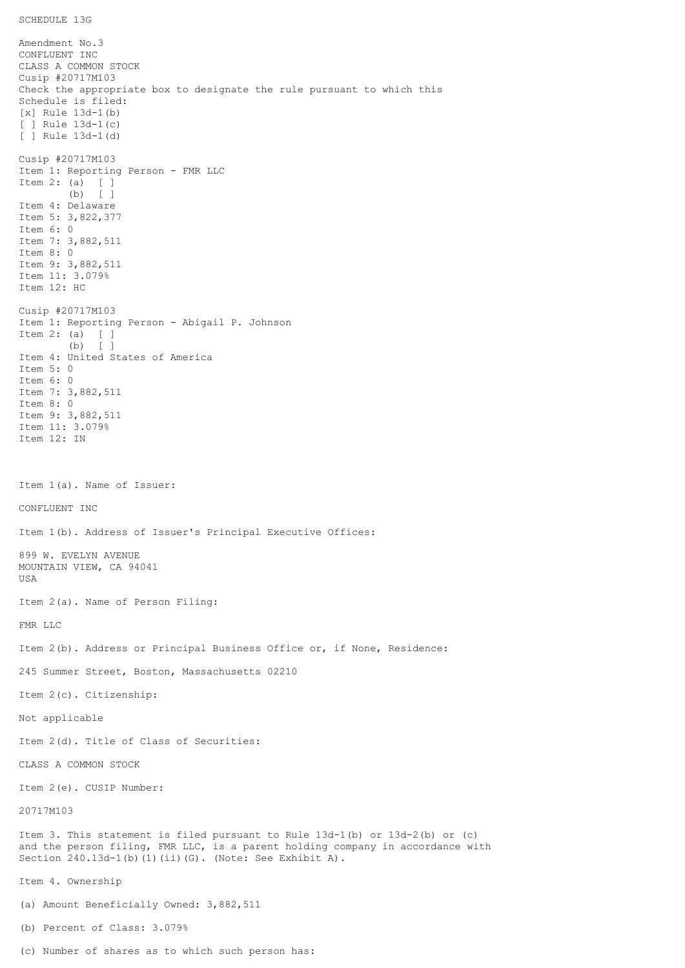## SCHEDULE 13G

Amendment No.3 CONFLUENT INC CLASS A COMMON STOCK Cusip #20717M103 Check the appropriate box to designate the rule pursuant to which this Schedule is filed: [x] Rule 13d-1(b) [ ] Rule 13d-1(c) [ ] Rule 13d-1(d) Cusip #20717M103 Item 1: Reporting Person - FMR LLC Item 2: (a) [ ] (b) [ ] Item 4: Delaware Item 5: 3,822,377 Item 6: 0 Item 7: 3,882,511 Item 8: 0 Item 9: 3,882,511 Item 11: 3.079% Item 12: HC Cusip #20717M103 Item 1: Reporting Person - Abigail P. Johnson Item 2: (a) [ ] (b) [ ] Item 4: United States of America Item 5: 0 Item 6: 0 Item 7: 3,882,511 Item 8: 0 Item 9: 3,882,511 Item 11: 3.079% Item 12: IN Item 1(a). Name of Issuer: CONFLUENT INC Item 1(b). Address of Issuer's Principal Executive Offices: 899 W. EVELYN AVENUE MOUNTAIN VIEW, CA 94041 USA Item 2(a). Name of Person Filing: FMR LLC Item 2(b). Address or Principal Business Office or, if None, Residence: 245 Summer Street, Boston, Massachusetts 02210 Item 2(c). Citizenship: Not applicable Item 2(d). Title of Class of Securities: CLASS A COMMON STOCK Item 2(e). CUSIP Number: 20717M103 Item 3. This statement is filed pursuant to Rule 13d-1(b) or 13d-2(b) or (c) and the person filing, FMR LLC, is a parent holding company in accordance with Section 240.13d-1(b)(1)(ii)(G). (Note: See Exhibit A). Item 4. Ownership (a) Amount Beneficially Owned: 3,882,511 (b) Percent of Class: 3.079%

(c) Number of shares as to which such person has: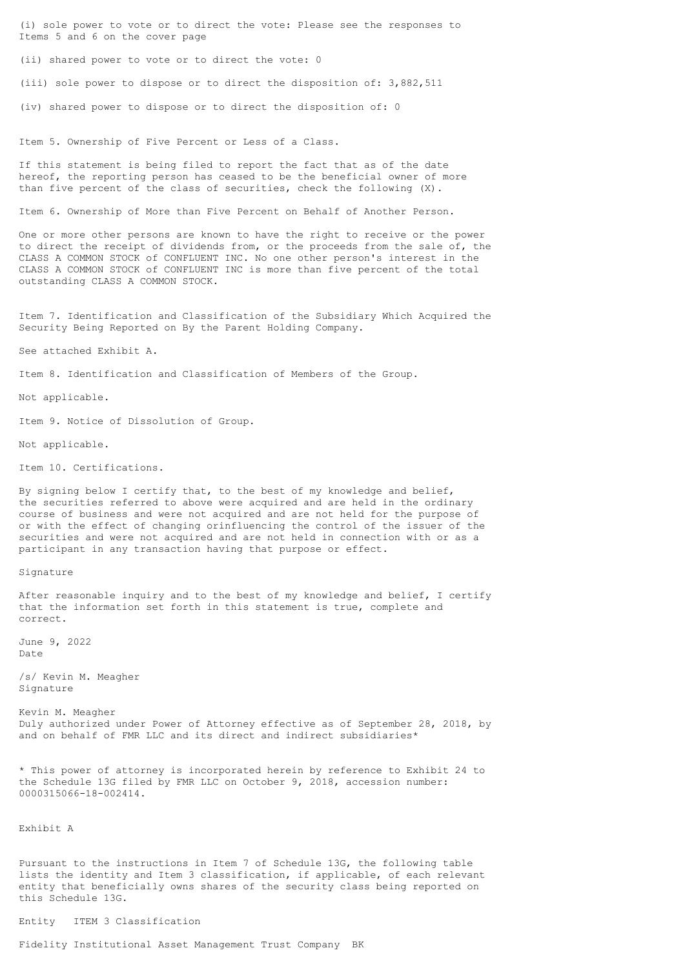(i) sole power to vote or to direct the vote: Please see the responses to Items 5 and 6 on the cover page

(ii) shared power to vote or to direct the vote: 0

(iii) sole power to dispose or to direct the disposition of: 3,882,511

(iv) shared power to dispose or to direct the disposition of: 0

Item 5. Ownership of Five Percent or Less of a Class.

If this statement is being filed to report the fact that as of the date hereof, the reporting person has ceased to be the beneficial owner of more than five percent of the class of securities, check the following (X).

Item 6. Ownership of More than Five Percent on Behalf of Another Person.

One or more other persons are known to have the right to receive or the power to direct the receipt of dividends from, or the proceeds from the sale of, the CLASS A COMMON STOCK of CONFLUENT INC. No one other person's interest in the CLASS A COMMON STOCK of CONFLUENT INC is more than five percent of the total outstanding CLASS A COMMON STOCK.

Item 7. Identification and Classification of the Subsidiary Which Acquired the Security Being Reported on By the Parent Holding Company.

See attached Exhibit A.

Item 8. Identification and Classification of Members of the Group.

Not applicable.

Item 9. Notice of Dissolution of Group.

Not applicable.

Item 10. Certifications.

By signing below I certify that, to the best of my knowledge and belief, the securities referred to above were acquired and are held in the ordinary course of business and were not acquired and are not held for the purpose of or with the effect of changing orinfluencing the control of the issuer of the securities and were not acquired and are not held in connection with or as a participant in any transaction having that purpose or effect.

Signature

After reasonable inquiry and to the best of my knowledge and belief, I certify that the information set forth in this statement is true, complete and correct.

June 9, 2022 Date

/s/ Kevin M. Meagher Signature

Kevin M. Meagher Duly authorized under Power of Attorney effective as of September 28, 2018, by and on behalf of FMR LLC and its direct and indirect subsidiaries\*

\* This power of attorney is incorporated herein by reference to Exhibit 24 to the Schedule 13G filed by FMR LLC on October 9, 2018, accession number: 0000315066-18-002414.

Exhibit A

Pursuant to the instructions in Item 7 of Schedule 13G, the following table lists the identity and Item 3 classification, if applicable, of each relevant entity that beneficially owns shares of the security class being reported on this Schedule 13G.

Entity ITEM 3 Classification

Fidelity Institutional Asset Management Trust Company BK